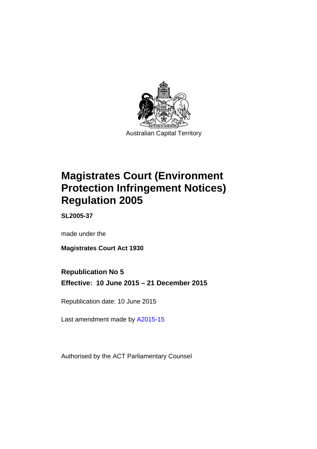

# **Magistrates Court (Environment Protection Infringement Notices) Regulation 2005**

**SL2005-37** 

made under the

**Magistrates Court Act 1930** 

# **Republication No 5**

**Effective: 10 June 2015 – 21 December 2015** 

Republication date: 10 June 2015

Last amendment made by [A2015-15](http://www.legislation.act.gov.au/a/2015-15)

Authorised by the ACT Parliamentary Counsel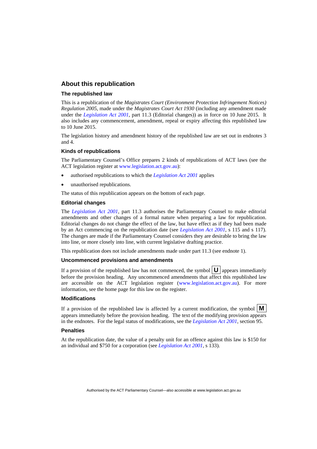# **About this republication**

### **The republished law**

This is a republication of the *Magistrates Court (Environment Protection Infringement Notices) Regulation 2005*, made under the *Magistrates Court Act 1930* (including any amendment made under the *[Legislation Act 2001](http://www.legislation.act.gov.au/a/2001-14)*, part 11.3 (Editorial changes)) as in force on 10 June 2015*.* It also includes any commencement, amendment, repeal or expiry affecting this republished law to 10 June 2015.

The legislation history and amendment history of the republished law are set out in endnotes 3 and 4.

### **Kinds of republications**

The Parliamentary Counsel's Office prepares 2 kinds of republications of ACT laws (see the ACT legislation register at [www.legislation.act.gov.au](http://www.legislation.act.gov.au/)):

- authorised republications to which the *[Legislation Act 2001](http://www.legislation.act.gov.au/a/2001-14)* applies
- unauthorised republications.

The status of this republication appears on the bottom of each page.

### **Editorial changes**

The *[Legislation Act 2001](http://www.legislation.act.gov.au/a/2001-14)*, part 11.3 authorises the Parliamentary Counsel to make editorial amendments and other changes of a formal nature when preparing a law for republication. Editorial changes do not change the effect of the law, but have effect as if they had been made by an Act commencing on the republication date (see *[Legislation Act 2001](http://www.legislation.act.gov.au/a/2001-14)*, s 115 and s 117). The changes are made if the Parliamentary Counsel considers they are desirable to bring the law into line, or more closely into line, with current legislative drafting practice.

This republication does not include amendments made under part 11.3 (see endnote 1).

### **Uncommenced provisions and amendments**

If a provision of the republished law has not commenced, the symbol  $\mathbf{U}$  appears immediately before the provision heading. Any uncommenced amendments that affect this republished law are accessible on the ACT legislation register [\(www.legislation.act.gov.au\)](http://www.legislation.act.gov.au/). For more information, see the home page for this law on the register.

#### **Modifications**

If a provision of the republished law is affected by a current modification, the symbol  $\mathbf{M}$ appears immediately before the provision heading. The text of the modifying provision appears in the endnotes. For the legal status of modifications, see the *[Legislation Act 2001](http://www.legislation.act.gov.au/a/2001-14)*, section 95.

### **Penalties**

At the republication date, the value of a penalty unit for an offence against this law is \$150 for an individual and \$750 for a corporation (see *[Legislation Act 2001](http://www.legislation.act.gov.au/a/2001-14)*, s 133).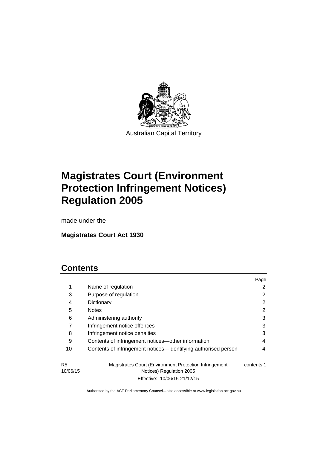

# **Magistrates Court (Environment Protection Infringement Notices) Regulation 2005**

made under the

**Magistrates Court Act 1930** 

# **Contents**

|                            |                                                                                    | Page       |
|----------------------------|------------------------------------------------------------------------------------|------------|
| 1                          | Name of regulation                                                                 |            |
| 3                          | Purpose of regulation                                                              |            |
| 4                          | Dictionary                                                                         | າ          |
| 5                          | <b>Notes</b>                                                                       | າ          |
| 6                          | Administering authority                                                            | 3          |
|                            | Infringement notice offences                                                       | 3          |
| 8                          | Infringement notice penalties                                                      | 3          |
| 9                          | Contents of infringement notices—other information                                 | 4          |
| 10                         | Contents of infringement notices—identifying authorised person                     | 4          |
| R <sub>5</sub><br>10/06/15 | Magistrates Court (Environment Protection Infringement<br>Notices) Regulation 2005 | contents 1 |

Effective: 10/06/15-21/12/15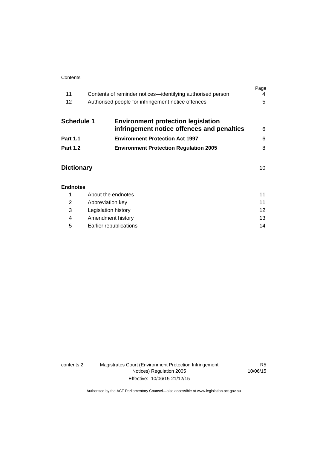#### **Contents**

| 11<br>12          | Contents of reminder notices—identifying authorised person<br>Authorised people for infringement notice offences | Page<br>4<br>5 |
|-------------------|------------------------------------------------------------------------------------------------------------------|----------------|
| <b>Schedule 1</b> | <b>Environment protection legislation</b><br>infringement notice offences and penalties                          | 6              |
| <b>Part 1.1</b>   | <b>Environment Protection Act 1997</b>                                                                           | 6              |
| <b>Part 1.2</b>   | <b>Environment Protection Regulation 2005</b>                                                                    | 8              |
| <b>Dictionary</b> |                                                                                                                  | 10             |
| <b>Endnotes</b>   |                                                                                                                  |                |
| 1                 | About the endnotes                                                                                               | 11             |
| 2                 | Abbreviation key                                                                                                 | 11             |

| Amendment history      |  |
|------------------------|--|
| Earlier republications |  |

3 [Legislation history 12](#page-15-0)

R5 10/06/15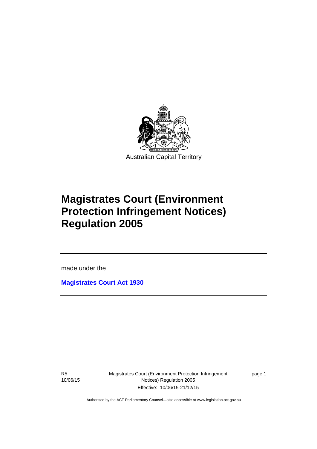

# **Magistrates Court (Environment Protection Infringement Notices) Regulation 2005**

made under the

**[Magistrates Court Act 1930](http://www.legislation.act.gov.au/a/1930-21)**

R5 10/06/15

l

Magistrates Court (Environment Protection Infringement Notices) Regulation 2005 Effective: 10/06/15-21/12/15

page 1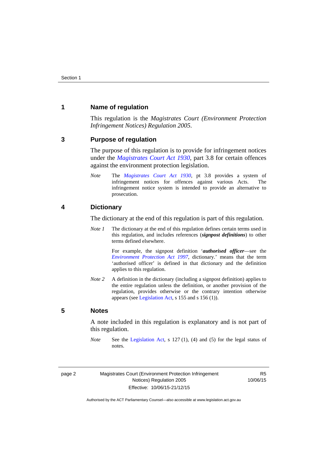# <span id="page-5-0"></span>**1 Name of regulation**

This regulation is the *Magistrates Court (Environment Protection Infringement Notices) Regulation 2005*.

### <span id="page-5-1"></span>**3 Purpose of regulation**

The purpose of this regulation is to provide for infringement notices under the *[Magistrates Court Act 1930](http://www.legislation.act.gov.au/a/1930-21)*, part 3.8 for certain offences against the environment protection legislation.

*Note* The *[Magistrates Court Act 1930](http://www.legislation.act.gov.au/a/1930-21)*, pt 3.8 provides a system of infringement notices for offences against various Acts. The infringement notice system is intended to provide an alternative to prosecution.

# <span id="page-5-2"></span>**4 Dictionary**

The dictionary at the end of this regulation is part of this regulation.

*Note 1* The dictionary at the end of this regulation defines certain terms used in this regulation, and includes references (*signpost definitions*) to other terms defined elsewhere.

> For example, the signpost definition '*authorised officer*—see the *[Environment Protection Act 1997](http://www.legislation.act.gov.au/a/1997-92)*, dictionary.' means that the term 'authorised officer' is defined in that dictionary and the definition applies to this regulation.

*Note 2* A definition in the dictionary (including a signpost definition) applies to the entire regulation unless the definition, or another provision of the regulation, provides otherwise or the contrary intention otherwise appears (see [Legislation Act,](http://www.legislation.act.gov.au/a/2001-14) s 155 and s 156 (1)).

# <span id="page-5-3"></span>**5 Notes**

A note included in this regulation is explanatory and is not part of this regulation.

*Note* See the [Legislation Act,](http://www.legislation.act.gov.au/a/2001-14) s 127 (1), (4) and (5) for the legal status of notes.

R5 10/06/15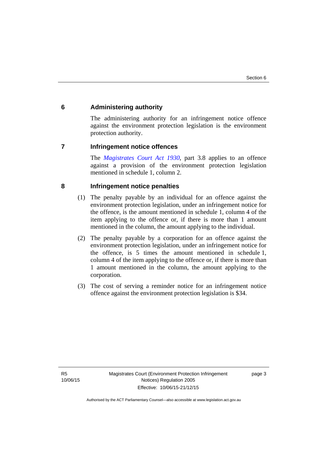# <span id="page-6-0"></span>**6 Administering authority**

The administering authority for an infringement notice offence against the environment protection legislation is the environment protection authority.

### <span id="page-6-1"></span>**7 Infringement notice offences**

The *[Magistrates Court Act 1930](http://www.legislation.act.gov.au/a/1930-21)*, part 3.8 applies to an offence against a provision of the environment protection legislation mentioned in schedule 1, column 2.

# <span id="page-6-2"></span>**8 Infringement notice penalties**

- (1) The penalty payable by an individual for an offence against the environment protection legislation, under an infringement notice for the offence, is the amount mentioned in schedule 1, column 4 of the item applying to the offence or, if there is more than 1 amount mentioned in the column, the amount applying to the individual.
- (2) The penalty payable by a corporation for an offence against the environment protection legislation, under an infringement notice for the offence, is 5 times the amount mentioned in schedule 1, column 4 of the item applying to the offence or, if there is more than 1 amount mentioned in the column, the amount applying to the corporation.
- (3) The cost of serving a reminder notice for an infringement notice offence against the environment protection legislation is \$34.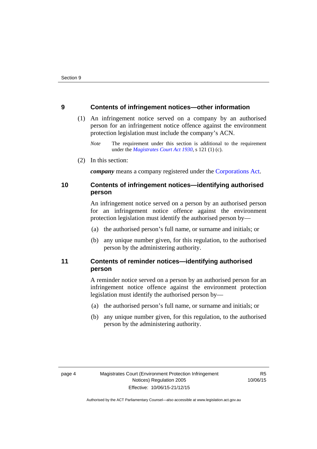# <span id="page-7-0"></span>**9 Contents of infringement notices—other information**

- (1) An infringement notice served on a company by an authorised person for an infringement notice offence against the environment protection legislation must include the company's ACN.
	- *Note* The requirement under this section is additional to the requirement under the *[Magistrates Court Act 1930](http://www.legislation.act.gov.au/a/1930-21)*, s 121 (1) (c).
- (2) In this section:

*company* means a company registered under the [Corporations Act.](http://www.comlaw.gov.au/Series/C2004A00818)

# <span id="page-7-1"></span>**10 Contents of infringement notices—identifying authorised person**

An infringement notice served on a person by an authorised person for an infringement notice offence against the environment protection legislation must identify the authorised person by—

- (a) the authorised person's full name, or surname and initials; or
- (b) any unique number given, for this regulation, to the authorised person by the administering authority.

# <span id="page-7-2"></span>**11 Contents of reminder notices—identifying authorised person**

A reminder notice served on a person by an authorised person for an infringement notice offence against the environment protection legislation must identify the authorised person by—

- (a) the authorised person's full name, or surname and initials; or
- (b) any unique number given, for this regulation, to the authorised person by the administering authority.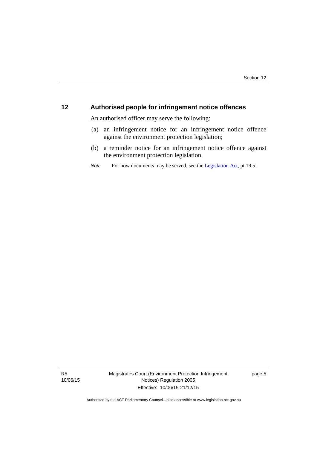# <span id="page-8-0"></span>**12 Authorised people for infringement notice offences**

An authorised officer may serve the following:

- (a) an infringement notice for an infringement notice offence against the environment protection legislation;
- (b) a reminder notice for an infringement notice offence against the environment protection legislation.
- *Note* For how documents may be served, see the [Legislation Act,](http://www.legislation.act.gov.au/a/2001-14) pt 19.5.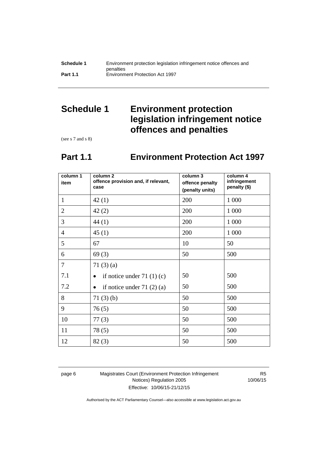# <span id="page-9-0"></span>**Schedule 1 Environment protection legislation infringement notice offences and penalties**

(see s 7 and s 8)

# **Part 1.1 Environment Protection Act 1997**

<span id="page-9-1"></span>

| column 1<br>item | column <sub>2</sub><br>offence provision and, if relevant,<br>case | column 3<br>offence penalty<br>(penalty units) | column 4<br>infringement<br>penalty (\$) |
|------------------|--------------------------------------------------------------------|------------------------------------------------|------------------------------------------|
| $\mathbf{1}$     | 42(1)                                                              | 200                                            | 1 0 0 0                                  |
| $\overline{2}$   | 42(2)                                                              | 200                                            | 1 0 0 0                                  |
| 3                | 44(1)                                                              | 200                                            | 1 0 0 0                                  |
| $\overline{4}$   | 45(1)                                                              | 200                                            | 1 000                                    |
| 5                | 67                                                                 | 10                                             | 50                                       |
| 6                | 69(3)                                                              | 50                                             | 500                                      |
| $\overline{7}$   | 71 $(3)(a)$                                                        |                                                |                                          |
| 7.1              | if notice under $71(1)(c)$                                         | 50                                             | 500                                      |
| 7.2              | if notice under $71(2)(a)$                                         | 50                                             | 500                                      |
| 8                | 71(3)(b)                                                           | 50                                             | 500                                      |
| 9                | 76(5)                                                              | 50                                             | 500                                      |
| 10               | 77(3)                                                              | 50                                             | 500                                      |
| 11               | 78(5)                                                              | 50                                             | 500                                      |
| 12               | 82(3)                                                              | 50                                             | 500                                      |

page 6 Magistrates Court (Environment Protection Infringement Notices) Regulation 2005 Effective: 10/06/15-21/12/15

R5 10/06/15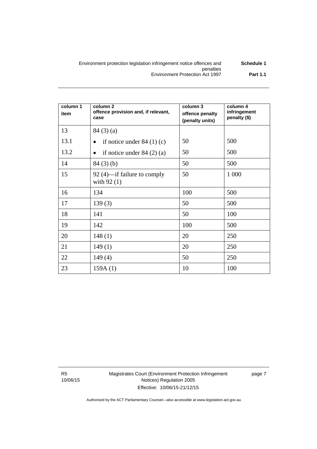#### Environment protection legislation infringement notice offences and penalties **Schedule 1** Environment Protection Act 1997 **Part 1.1**

| column 1<br>item | column <sub>2</sub><br>offence provision and, if relevant,<br>case | column 3<br>offence penalty<br>(penalty units) | column 4<br>infringement<br>penalty (\$) |
|------------------|--------------------------------------------------------------------|------------------------------------------------|------------------------------------------|
| 13               | 84(3)(a)                                                           |                                                |                                          |
| 13.1             | if notice under $84(1)(c)$<br>$\bullet$                            | 50                                             | 500                                      |
| 13.2             | if notice under $84(2)(a)$<br>$\bullet$                            | 50                                             | 500                                      |
| 14               | 84(3)(b)                                                           | 50                                             | 500                                      |
| 15               | 92 $(4)$ —if failure to comply<br>with $92(1)$                     | 50                                             | 1 000                                    |
| 16               | 134                                                                | 100                                            | 500                                      |
| 17               | 139(3)                                                             | 50                                             | 500                                      |
| 18               | 141                                                                | 50                                             | 100                                      |
| 19               | 142                                                                | 100                                            | 500                                      |
| 20               | 148(1)                                                             | 20                                             | 250                                      |
| 21               | 149(1)                                                             | 20                                             | 250                                      |
| 22               | 149(4)                                                             | 50                                             | 250                                      |
| 23               | 159A(1)                                                            | 10                                             | 100                                      |

R5 10/06/15 Magistrates Court (Environment Protection Infringement Notices) Regulation 2005 Effective: 10/06/15-21/12/15

page 7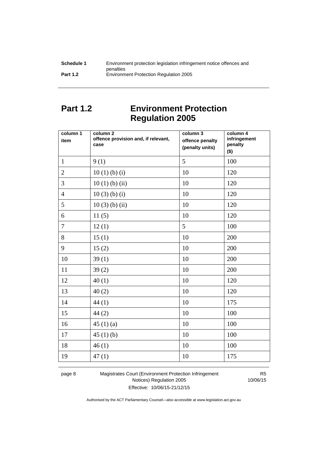| Schedule 1      | Environment protection legislation infringement notice offences and |
|-----------------|---------------------------------------------------------------------|
|                 | penalties                                                           |
| <b>Part 1.2</b> | <b>Environment Protection Regulation 2005</b>                       |

# <span id="page-11-0"></span>**Part 1.2 Environment Protection Regulation 2005**

| column 1<br>item | column 2<br>offence provision and, if relevant,<br>case | column 3<br>offence penalty<br>(penalty units) | column 4<br>infringement<br>penalty<br>$($ \$) |
|------------------|---------------------------------------------------------|------------------------------------------------|------------------------------------------------|
| $\mathbf{1}$     | 9(1)                                                    | 5                                              | 100                                            |
| $\overline{2}$   | 10(1)(b)(i)                                             | 10                                             | 120                                            |
| 3                | $10(1)$ (b) (ii)                                        | 10                                             | 120                                            |
| $\overline{4}$   | $10(3)$ (b) (i)                                         | 10                                             | 120                                            |
| 5                | $10(3)$ (b) (ii)                                        | 10                                             | 120                                            |
| 6                | 11(5)                                                   | 10                                             | 120                                            |
| $\overline{7}$   | 12(1)                                                   | 5                                              | 100                                            |
| 8                | 15(1)                                                   | 10                                             | 200                                            |
| 9                | 15(2)                                                   | 10                                             | 200                                            |
| 10               | 39(1)                                                   | 10                                             | 200                                            |
| 11               | 39(2)                                                   | 10                                             | 200                                            |
| 12               | 40(1)                                                   | 10                                             | 120                                            |
| 13               | 40(2)                                                   | 10                                             | 120                                            |
| 14               | 44(1)                                                   | 10                                             | 175                                            |
| 15               | 44(2)                                                   | 10                                             | 100                                            |
| 16               | 45(1)(a)                                                | 10                                             | 100                                            |
| 17               | 45(1)(b)                                                | 10                                             | 100                                            |
| 18               | 46(1)                                                   | 10                                             | 100                                            |
| 19               | 47(1)                                                   | 10                                             | 175                                            |

page 8 Magistrates Court (Environment Protection Infringement Notices) Regulation 2005 Effective: 10/06/15-21/12/15

R5 10/06/15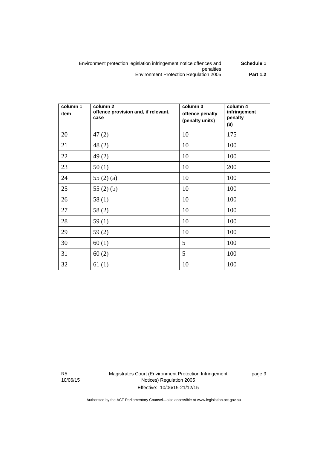| <b>Schedule 1</b> | Environment protection legislation infringement notice offences and |
|-------------------|---------------------------------------------------------------------|
|                   | penalties                                                           |
| <b>Part 1.2</b>   | <b>Environment Protection Regulation 2005</b>                       |

| column 1<br>item | column 2<br>offence provision and, if relevant,<br>case | column 3<br>offence penalty<br>(penalty units) | column 4<br>infringement<br>penalty<br>$($ \$) |
|------------------|---------------------------------------------------------|------------------------------------------------|------------------------------------------------|
| 20               | 47(2)                                                   | 10                                             | 175                                            |
| 21               | 48(2)                                                   | 10                                             | 100                                            |
| 22               | 49(2)                                                   | 10                                             | 100                                            |
| 23               | 50(1)                                                   | 10                                             | 200                                            |
| 24               | 55 $(2)$ $(a)$                                          | 10                                             | 100                                            |
| 25               | 55 $(2)$ $(b)$                                          | 10                                             | 100                                            |
| 26               | 58(1)                                                   | 10                                             | 100                                            |
| 27               | 58(2)                                                   | 10                                             | 100                                            |
| 28               | 59(1)                                                   | 10                                             | 100                                            |
| 29               | 59(2)                                                   | 10                                             | 100                                            |
| 30               | 60(1)                                                   | 5                                              | 100                                            |
| 31               | 60(2)                                                   | 5                                              | 100                                            |
| 32               | 61(1)                                                   | 10                                             | 100                                            |

R5 10/06/15 Magistrates Court (Environment Protection Infringement Notices) Regulation 2005 Effective: 10/06/15-21/12/15

page 9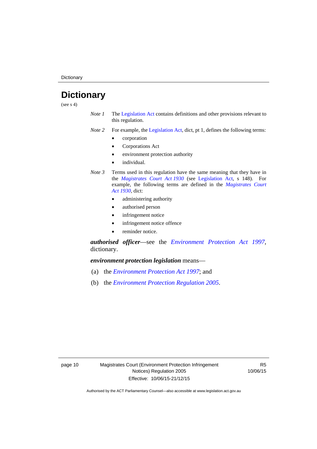**Dictionary** 

# <span id="page-13-0"></span>**Dictionary**

(see  $s$  4)

- *Note 1* The [Legislation Act](http://www.legislation.act.gov.au/a/2001-14) contains definitions and other provisions relevant to this regulation.
- *Note 2* For example, the [Legislation Act,](http://www.legislation.act.gov.au/a/2001-14) dict, pt 1, defines the following terms:
	- corporation
	- Corporations Act
	- environment protection authority
	- individual.
- *Note 3* Terms used in this regulation have the same meaning that they have in the *[Magistrates Court Act 1930](http://www.legislation.act.gov.au/a/1930-21)* (see [Legislation Act](http://www.legislation.act.gov.au/a/2001-14), s 148). For example, the following terms are defined in the *[Magistrates Court](http://www.legislation.act.gov.au/a/1930-21)  [Act 1930](http://www.legislation.act.gov.au/a/1930-21)*, dict:
	- administering authority
	- authorised person
	- infringement notice
	- infringement notice offence
	- reminder notice.

*authorised officer*—see the *[Environment Protection Act 1997](http://www.legislation.act.gov.au/a/1997-92)*, dictionary.

*environment protection legislation* means—

- (a) the *[Environment Protection Act 1997](http://www.legislation.act.gov.au/a/1997-92)*; and
- (b) the *[Environment Protection Regulation 2005](http://www.legislation.act.gov.au/sl/2005-38)*.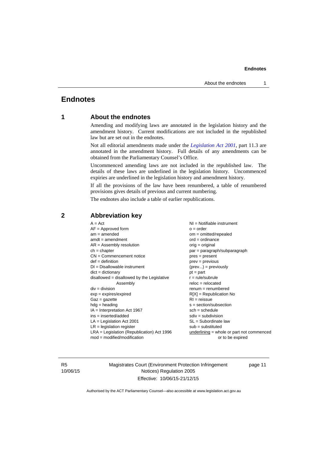# <span id="page-14-0"></span>**Endnotes**

# **1 About the endnotes**

Amending and modifying laws are annotated in the legislation history and the amendment history. Current modifications are not included in the republished law but are set out in the endnotes.

Not all editorial amendments made under the *[Legislation Act 2001](http://www.legislation.act.gov.au/a/2001-14)*, part 11.3 are annotated in the amendment history. Full details of any amendments can be obtained from the Parliamentary Counsel's Office.

Uncommenced amending laws are not included in the republished law. The details of these laws are underlined in the legislation history. Uncommenced expiries are underlined in the legislation history and amendment history.

If all the provisions of the law have been renumbered, a table of renumbered provisions gives details of previous and current numbering.

The endnotes also include a table of earlier republications.

| $A = Act$<br>$AF =$ Approved form<br>$am = amended$<br>$amdt = amendment$<br>$AR = Assembly resolution$<br>$ch = chapter$<br>$CN =$ Commencement notice<br>$def = definition$<br>$DI = Disallowable instrument$<br>$dict = dictionary$<br>disallowed = disallowed by the Legislative<br>Assembly<br>$div = division$<br>$exp = expires/expired$<br>$Gaz = gazette$<br>$hdg = heading$<br>$IA = Interpretation Act 1967$<br>$ins = inserted/added$<br>$LA =$ Legislation Act 2001<br>$LR =$ legislation register | NI = Notifiable instrument<br>$o = order$<br>$om = omitted/repealed$<br>$ord = ordinance$<br>$orig = original$<br>par = paragraph/subparagraph<br>$pres = present$<br>$prev = previous$<br>$(\text{prev}) = \text{previously}$<br>$pt = part$<br>$r = rule/subrule$<br>$reloc = relocated$<br>$remum = renumbered$<br>$R[X]$ = Republication No<br>$RI = reissue$<br>$s = section/subsection$<br>$sch = schedule$<br>$sdiv = subdivision$<br>$SL = Subordinate$ law<br>$sub =$ substituted |
|-----------------------------------------------------------------------------------------------------------------------------------------------------------------------------------------------------------------------------------------------------------------------------------------------------------------------------------------------------------------------------------------------------------------------------------------------------------------------------------------------------------------|--------------------------------------------------------------------------------------------------------------------------------------------------------------------------------------------------------------------------------------------------------------------------------------------------------------------------------------------------------------------------------------------------------------------------------------------------------------------------------------------|
|                                                                                                                                                                                                                                                                                                                                                                                                                                                                                                                 |                                                                                                                                                                                                                                                                                                                                                                                                                                                                                            |
| $LRA =$ Legislation (Republication) Act 1996<br>$mod = modified/modification$                                                                                                                                                                                                                                                                                                                                                                                                                                   | $underlining = whole or part not commenced$<br>or to be expired                                                                                                                                                                                                                                                                                                                                                                                                                            |
|                                                                                                                                                                                                                                                                                                                                                                                                                                                                                                                 |                                                                                                                                                                                                                                                                                                                                                                                                                                                                                            |

### <span id="page-14-2"></span>**2 Abbreviation key**

R5 10/06/15 Magistrates Court (Environment Protection Infringement Notices) Regulation 2005 Effective: 10/06/15-21/12/15

page 11

<span id="page-14-1"></span>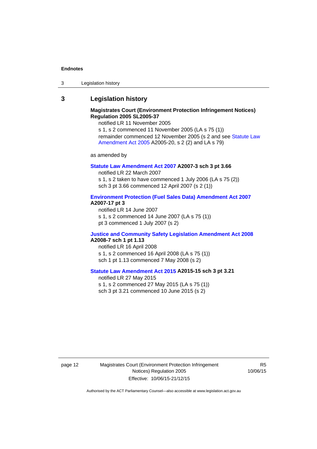| Legislation history<br>3 |  |
|--------------------------|--|
|--------------------------|--|

### <span id="page-15-0"></span>**3 Legislation history**

### **Magistrates Court (Environment Protection Infringement Notices) Regulation 2005 SL2005-37**

notified LR 11 November 2005

s 1, s 2 commenced 11 November 2005 (LA s 75 (1)) remainder commenced 12 November 2005 (s 2 and see Statute Law [Amendment Act 2005](http://www.legislation.act.gov.au/a/2005-20) A2005-20, s 2 (2) and LA s 79)

as amended by

### **[Statute Law Amendment Act 2007](http://www.legislation.act.gov.au/a/2007-3) A2007-3 sch 3 pt 3.66**

notified LR 22 March 2007 s 1, s 2 taken to have commenced 1 July 2006 (LA s 75 (2)) sch 3 pt 3.66 commenced 12 April 2007 (s 2 (1))

### **[Environment Protection \(Fuel Sales Data\) Amendment Act 2007](http://www.legislation.act.gov.au/a/2007-17) A2007-17 pt 3**

notified LR 14 June 2007 s 1, s 2 commenced 14 June 2007 (LA s 75 (1)) pt 3 commenced 1 July 2007 (s 2)

### **[Justice and Community Safety Legislation Amendment Act 2008](http://www.legislation.act.gov.au/a/2008-7) A2008-7 sch 1 pt 1.13**

notified LR 16 April 2008 s 1, s 2 commenced 16 April 2008 (LA s 75 (1)) sch 1 pt 1.13 commenced 7 May 2008 (s 2)

### **[Statute Law Amendment Act 2015](http://www.legislation.act.gov.au/a/2015-15) A2015-15 sch 3 pt 3.21**

notified LR 27 May 2015 s 1, s 2 commenced 27 May 2015 (LA s 75 (1)) sch 3 pt 3.21 commenced 10 June 2015 (s 2)

page 12 Magistrates Court (Environment Protection Infringement Notices) Regulation 2005 Effective: 10/06/15-21/12/15

R5 10/06/15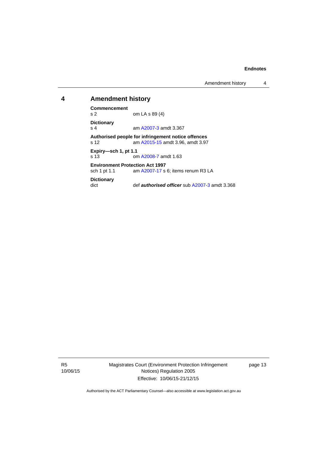Amendment history 4

# <span id="page-16-0"></span>**4 Amendment history**

**Commencement**  om LA s 89 (4) **Dictionary**  s 4 **am [A2007-3](http://www.legislation.act.gov.au/a/2007-3) amdt 3.367 Authorised people for infringement notice offences**  s 12 am [A2015-15](http://www.legislation.act.gov.au/a/2015-15) amdt 3.96, amdt 3.97 **Expiry—sch 1, pt 1.1**  s 13 om [A2008-7](http://www.legislation.act.gov.au/a/2008-7) amdt 1.63 **Environment Protection Act 1997**  sch 1 pt 1.1 am [A2007-17](http://www.legislation.act.gov.au/a/2007-17) s 6; items renum R3 LA **Dictionary**  dict def *authorised officer* sub [A2007-3](http://www.legislation.act.gov.au/a/2007-3) amdt 3.368

R5 10/06/15 Magistrates Court (Environment Protection Infringement Notices) Regulation 2005 Effective: 10/06/15-21/12/15

page 13